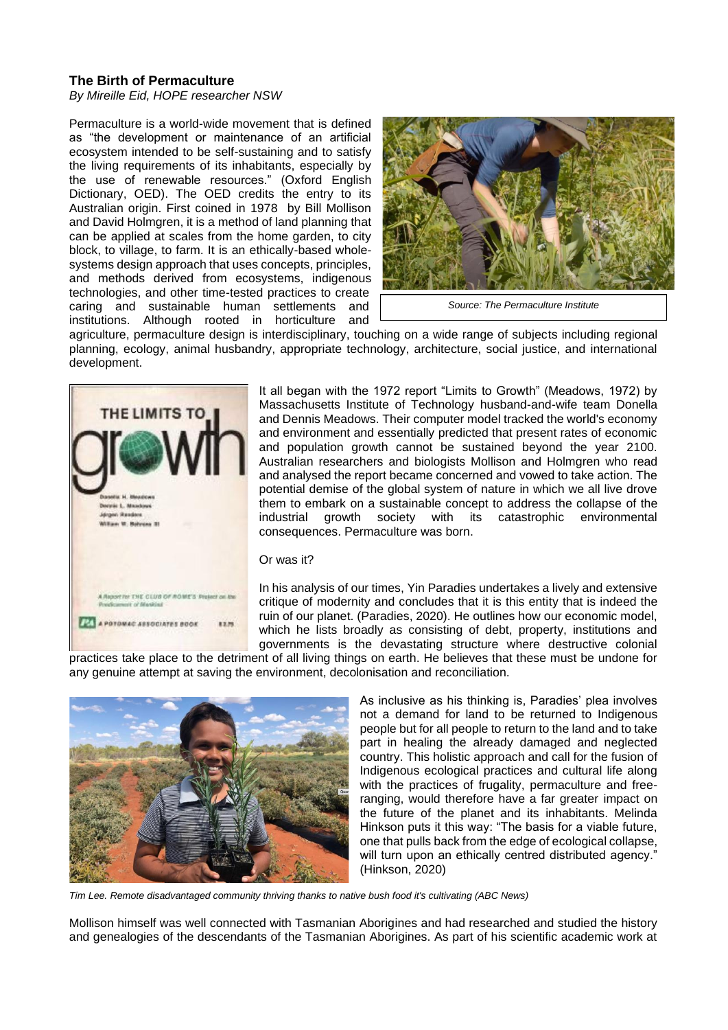## **The Birth of Permaculture**

*By Mireille Eid, HOPE researcher NSW*

Permaculture is a world-wide movement that is defined as "the development or maintenance of an artificial ecosystem intended to be self-sustaining and to satisfy the living requirements of its inhabitants, especially by the use of renewable resources." (Oxford English Dictionary, OED). The OED credits the entry to its Australian origin. First coined in 1978 by Bill Mollison and David Holmgren, it is a method of land planning that can be applied at scales from the home garden, to city block, to village, to farm. It is an ethically-based wholesystems design approach that uses concepts, principles, and methods derived from ecosystems, indigenous technologies, and other time-tested practices to create caring and sustainable human settlements and institutions. Although rooted in horticulture and



*Source: The Permaculture Institute*

agriculture, permaculture design is interdisciplinary, touching on a wide range of subjects including regional planning, ecology, animal husbandry, appropriate technology, architecture, social justice, and international development.



It all began with the 1972 report "Limits to Growth" (Meadows, 1972) by Massachusetts Institute of Technology husband-and-wife team Donella and Dennis Meadows. Their computer model tracked the world's economy and environment and essentially predicted that present rates of economic and population growth cannot be sustained beyond the year 2100. Australian researchers and biologists Mollison and Holmgren who read and analysed the report became concerned and vowed to take action. The potential demise of the global system of nature in which we all live drove them to embark on a sustainable concept to address the collapse of the industrial growth society with its catastrophic environmental consequences. Permaculture was born.

## Or was it?

In his analysis of our times, Yin Paradies undertakes a lively and extensive critique of modernity and concludes that it is this entity that is indeed the ruin of our planet. (Paradies, 2020). He outlines how our economic model, which he lists broadly as consisting of debt, property, institutions and governments is the devastating structure where destructive colonial

practices take place to the detriment of all living things on earth. He believes that these must be undone for any genuine attempt at saving the environment, decolonisation and reconciliation.



As inclusive as his thinking is, Paradies' plea involves not a demand for land to be returned to Indigenous people but for all people to return to the land and to take part in healing the already damaged and neglected country. This holistic approach and call for the fusion of Indigenous ecological practices and cultural life along with the practices of frugality, permaculture and freeranging, would therefore have a far greater impact on the future of the planet and its inhabitants. Melinda Hinkson puts it this way: "The basis for a viable future, one that pulls back from the edge of ecological collapse, will turn upon an ethically centred distributed agency." (Hinkson, 2020)

*Tim Lee. Remote disadvantaged community thriving thanks to native bush food it's cultivating (ABC News)*

Mollison himself was well connected with Tasmanian Aborigines and had researched and studied the history and genealogies of the descendants of the Tasmanian Aborigines. As part of his scientific academic work at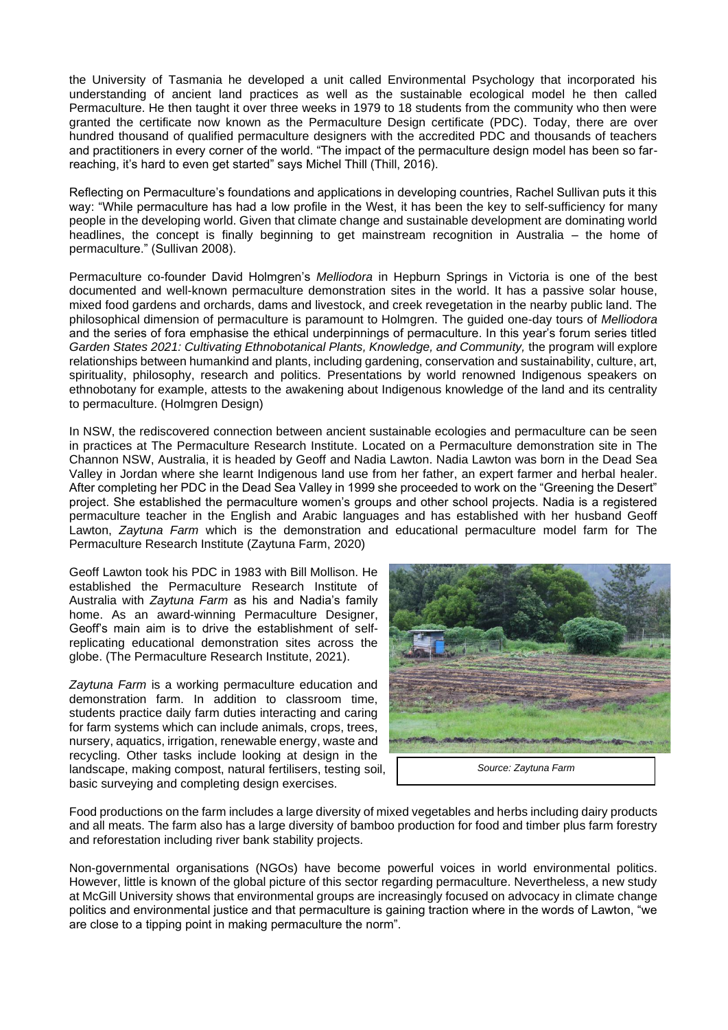the University of Tasmania he developed a unit called Environmental Psychology that incorporated his understanding of ancient land practices as well as the sustainable ecological model he then called Permaculture. He then taught it over three weeks in 1979 to 18 students from the community who then were granted the certificate now known as the Permaculture Design certificate (PDC). Today, there are over hundred thousand of qualified permaculture designers with the accredited PDC and thousands of teachers and practitioners in every corner of the world. "The impact of the permaculture design model has been so farreaching, it's hard to even get started" says Michel Thill (Thill, 2016).

Reflecting on Permaculture's foundations and applications in developing countries, Rachel Sullivan puts it this way: "While permaculture has had a low profile in the West, it has been the key to self-sufficiency for many people in the developing world. Given that climate change and sustainable development are dominating world headlines, the concept is finally beginning to get mainstream recognition in Australia – the home of permaculture." (Sullivan 2008).

Permaculture co-founder David Holmgren's *Melliodora* in Hepburn Springs in Victoria is one of the best documented and well-known permaculture demonstration sites in the world. It has a passive solar house, mixed food gardens and orchards, dams and livestock, and creek revegetation in the nearby public land. The philosophical dimension of permaculture is paramount to Holmgren. The guided one-day tours of *Melliodora* and the series of fora emphasise the ethical underpinnings of permaculture. In this year's forum series titled Garden States 2021: Cultivating Ethnobotanical Plants, Knowledge, and Community, the program will explore relationships between humankind and plants, including gardening, conservation and sustainability, culture, art, spirituality, philosophy, research and politics. Presentations by world renowned Indigenous speakers on ethnobotany for example, attests to the awakening about Indigenous knowledge of the land and its centrality to permaculture. (Holmgren Design)

In NSW, the rediscovered connection between ancient sustainable ecologies and permaculture can be seen in practices at The Permaculture Research Institute. Located on a Permaculture demonstration site in The Channon NSW, Australia, it is headed by Geoff and Nadia Lawton. Nadia Lawton was born in the Dead Sea Valley in Jordan where she learnt Indigenous land use from her father, an expert farmer and herbal healer. After completing her PDC in the Dead Sea Valley in 1999 she proceeded to work on the "Greening the Desert" project. She established the permaculture women's groups and other school projects. Nadia is a registered permaculture teacher in the English and Arabic languages and has established with her husband Geoff Lawton, *Zaytuna Farm* which is the demonstration and educational permaculture model farm for The Permaculture Research Institute (Zaytuna Farm, 2020)

Geoff Lawton took his PDC in 1983 with Bill Mollison. He established the Permaculture Research Institute of Australia with *Zaytuna Farm* as his and Nadia's family home. As an award-winning Permaculture Designer, Geoff's main aim is to drive the establishment of selfreplicating educational demonstration sites across the globe. (The Permaculture Research Institute, 2021).

*Zaytuna Farm* is a working permaculture education and demonstration farm. In addition to classroom time, students practice daily farm duties interacting and caring for farm systems which can include animals, crops, trees, nursery, aquatics, irrigation, renewable energy, waste and recycling. Other tasks include looking at design in the landscape, making compost, natural fertilisers, testing soil, basic surveying and completing design exercises.



*Source: Zaytuna Farm*

Food productions on the farm includes a large diversity of mixed vegetables and herbs including dairy products and all meats. The farm also has a large diversity of bamboo production for food and timber plus farm forestry and reforestation including river bank stability projects.

Non-governmental organisations (NGOs) have become powerful voices in world environmental politics. However, little is known of the global picture of this sector regarding permaculture. Nevertheless, a new study at McGill University shows that environmental groups are increasingly focused on advocacy in climate change politics and environmental justice and that permaculture is gaining traction where in the words of Lawton, "we are close to a tipping point in making permaculture the norm".